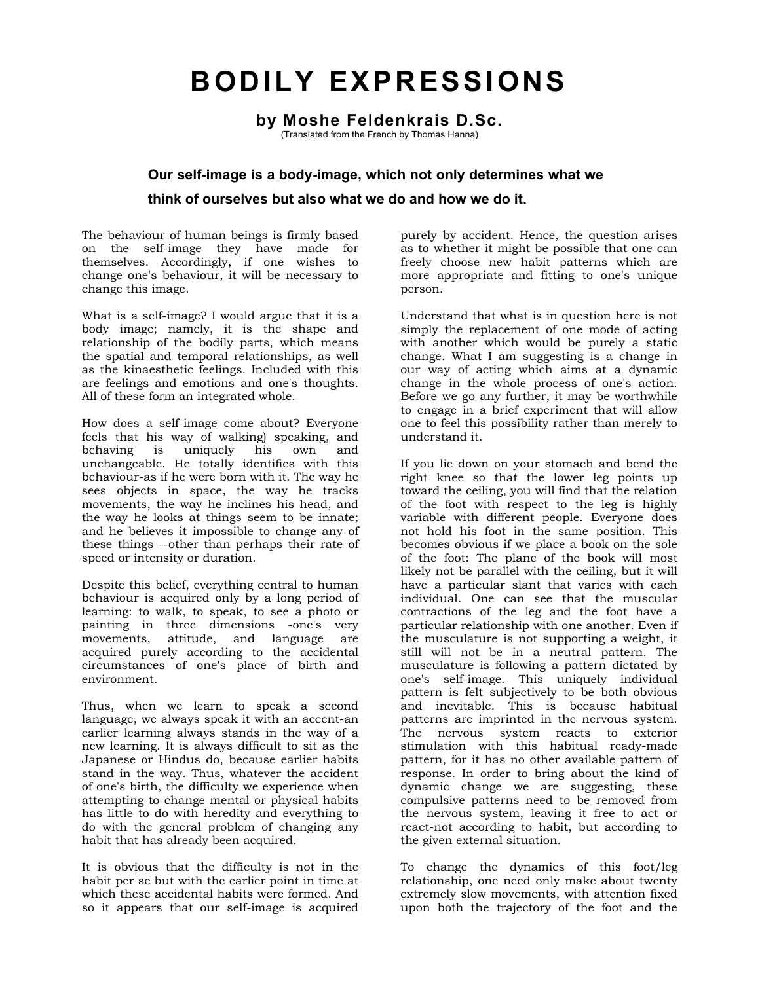## **BODILY EXPRESSIONS**

**by Moshe Feldenkrais D.Sc.**  (Translated from the French by Thomas Hanna)

## **think of ourselves but also what we do and how we do it. Our self-image is a body-image, which not only determines what we**

 The behaviour of human beings is firmly based on the self-image they have made for change this image. themselves. Accordingly, if one wishes to change one's behaviour, it will be necessary to

 body image; namely, it is the shape and as the kinaesthetic feelings. Included with this What is a self-image? I would argue that it is a relationship of the bodily parts, which means the spatial and temporal relationships, as well are feelings and emotions and one's thoughts. All of these form an integrated whole.

How does a self-image come about? Everyone feels that his way of walking) speaking, and behaving is uniquely his own and unchangeable. He totally identifies with this behaviour-as if he were born with it. The way he sees objects in space, the way he tracks movements, the way he inclines his head, and the way he looks at things seem to be innate; and he believes it impossible to change any of these things --other than perhaps their rate of speed or intensity or duration.

 learning: to walk, to speak, to see a photo or circumstances of one's place of birth and Despite this belief, everything central to human behaviour is acquired only by a long period of painting in three dimensions -one's very movements, attitude, and language are acquired purely according to the accidental environment.

 new learning. It is always difficult to sit as the Japanese or Hindus do, because earlier habits has little to do with heredity and everything to Thus, when we learn to speak a second language, we always speak it with an accent-an earlier learning always stands in the way of a stand in the way. Thus, whatever the accident of one's birth, the difficulty we experience when attempting to change mental or physical habits do with the general problem of changing any habit that has already been acquired.

It is obvious that the difficulty is not in the habit per se but with the earlier point in time at which these accidental habits were formed. And so it appears that our self-image is acquired purely by accident. Hence, the question arises as to whether it might be possible that one can freely choose new habit patterns which are more appropriate and fitting to one's unique person.

 one to feel this possibility rather than merely to Understand that what is in question here is not simply the replacement of one mode of acting with another which would be purely a static change. What I am suggesting is a change in our way of acting which aims at a dynamic change in the whole process of one's action. Before we go any further, it may be worthwhile to engage in a brief experiment that will allow understand it.

 right knee so that the lower leg points up of the foot with respect to the leg is highly of the foot: The plane of the book will most individual. One can see that the muscular The nervous system reacts to exterior response. In order to bring about the kind of dynamic change we are suggesting, these the nervous system, leaving it free to act or If you lie down on your stomach and bend the toward the ceiling, you will find that the relation variable with different people. Everyone does not hold his foot in the same position. This becomes obvious if we place a book on the sole likely not be parallel with the ceiling, but it will have a particular slant that varies with each contractions of the leg and the foot have a particular relationship with one another. Even if the musculature is not supporting a weight, it still will not be in a neutral pattern. The musculature is following a pattern dictated by one's self-image. This uniquely individual pattern is felt subjectively to be both obvious and inevitable. This is because habitual patterns are imprinted in the nervous system. stimulation with this habitual ready-made pattern, for it has no other available pattern of compulsive patterns need to be removed from react-not according to habit, but according to the given external situation.

To change the dynamics of this foot/leg relationship, one need only make about twenty extremely slow movements, with attention fixed upon both the trajectory of the foot and the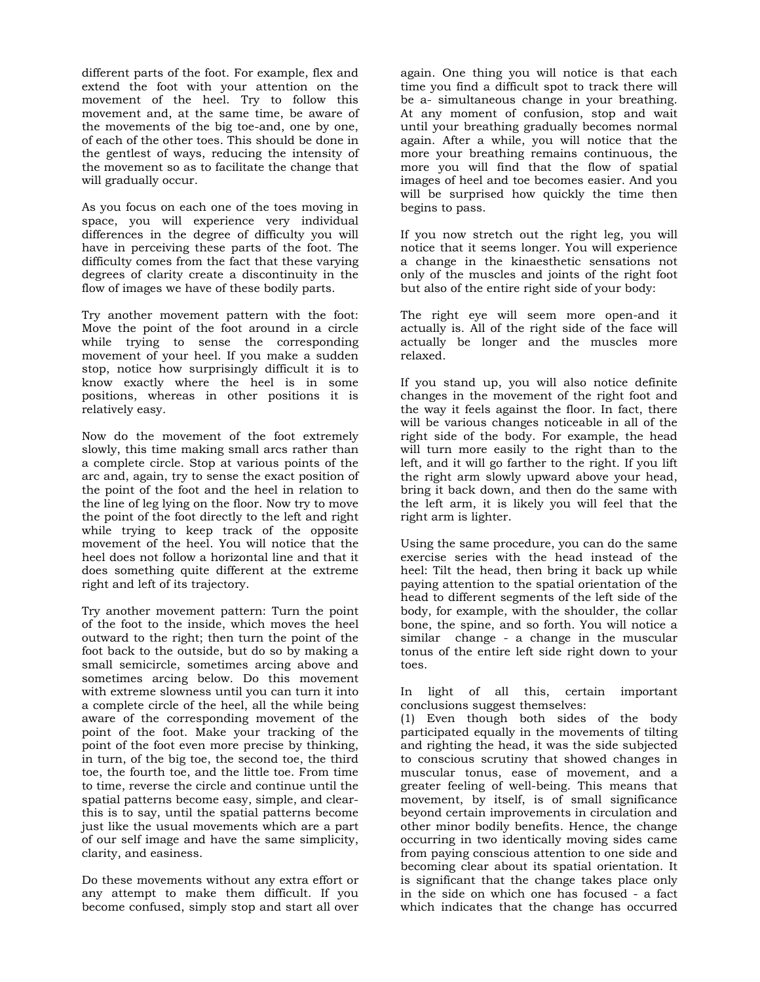extend the foot with your attention on the movement and, at the same time, be aware of the movement so as to facilitate the change that different parts of the foot. For example, flex and movement of the heel. Try to follow this the movements of the big toe-and, one by one, of each of the other toes. This should be done in the gentlest of ways, reducing the intensity of will gradually occur.

 As you focus on each one of the toes moving in degrees of clarity create a discontinuity in the space, you will experience very individual differences in the degree of difficulty you will have in perceiving these parts of the foot. The difficulty comes from the fact that these varying flow of images we have of these bodily parts.

 while trying to sense the corresponding know exactly where the heel is in some Try another movement pattern with the foot: Move the point of the foot around in a circle movement of your heel. If you make a sudden stop, notice how surprisingly difficult it is to positions, whereas in other positions it is relatively easy.

 Now do the movement of the foot extremely the point of the foot directly to the left and right slowly, this time making small arcs rather than a complete circle. Stop at various points of the arc and, again, try to sense the exact position of the point of the foot and the heel in relation to the line of leg lying on the floor. Now try to move while trying to keep track of the opposite movement of the heel. You will notice that the heel does not follow a horizontal line and that it does something quite different at the extreme right and left of its trajectory.

 of the foot to the inside, which moves the heel foot back to the outside, but do so by making a aware of the corresponding movement of the point of the foot. Make your tracking of the in turn, of the big toe, the second toe, the third toe, the fourth toe, and the little toe. From time just like the usual movements which are a part Try another movement pattern: Turn the point outward to the right; then turn the point of the small semicircle, sometimes arcing above and sometimes arcing below. Do this movement with extreme slowness until you can turn it into a complete circle of the heel, all the while being point of the foot even more precise by thinking, to time, reverse the circle and continue until the spatial patterns become easy, simple, and clearthis is to say, until the spatial patterns become of our self image and have the same simplicity, clarity, and easiness.

Do these movements without any extra effort or any attempt to make them difficult. If you become confused, simply stop and start all over

 again. After a while, you will notice that the more you will find that the flow of spatial images of heel and toe becomes easier. And you again. One thing you will notice is that each time you find a difficult spot to track there will be a- simultaneous change in your breathing. At any moment of confusion, stop and wait until your breathing gradually becomes normal more your breathing remains continuous, the will be surprised how quickly the time then begins to pass.

 notice that it seems longer. You will experience only of the muscles and joints of the right foot If you now stretch out the right leg, you will a change in the kinaesthetic sensations not but also of the entire right side of your body:

 The right eye will seem more open-and it actually is. All of the right side of the face will actually be longer and the muscles more relaxed.

 If you stand up, you will also notice definite will turn more easily to the right than to the changes in the movement of the right foot and the way it feels against the floor. In fact, there will be various changes noticeable in all of the right side of the body. For example, the head left, and it will go farther to the right. If you lift the right arm slowly upward above your head, bring it back down, and then do the same with the left arm, it is likely you will feel that the right arm is lighter.

 exercise series with the head instead of the heel: Tilt the head, then bring it back up while head to different segments of the left side of the bone, the spine, and so forth. You will notice a similar change - a change in the muscular tonus of the entire left side right down to your Using the same procedure, you can do the same paying attention to the spatial orientation of the body, for example, with the shoulder, the collar toes.

In light of all this, certain important conclusions suggest themselves:

 to conscious scrutiny that showed changes in other minor bodily benefits. Hence, the change from paying conscious attention to one side and which indicates that the change has occurred (1) Even though both sides of the body participated equally in the movements of tilting and righting the head, it was the side subjected muscular tonus, ease of movement, and a greater feeling of well-being. This means that movement, by itself, is of small significance beyond certain improvements in circulation and occurring in two identically moving sides came becoming clear about its spatial orientation. It is significant that the change takes place only in the side on which one has focused - a fact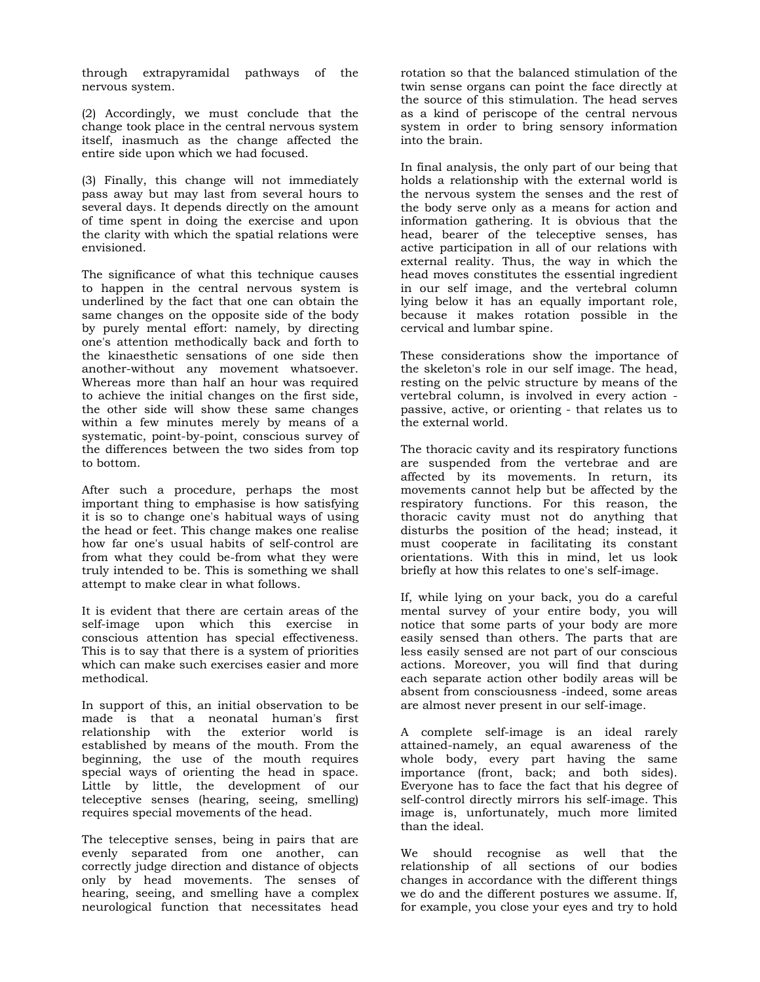through extrapyramidal pathways of the nervous system.

 (2) Accordingly, we must conclude that the change took place in the central nervous system itself, inasmuch as the change affected the entire side upon which we had focused.

 (3) Finally, this change will not immediately several days. It depends directly on the amount of time spent in doing the exercise and upon pass away but may last from several hours to the clarity with which the spatial relations were envisioned.

 underlined by the fact that one can obtain the same changes on the opposite side of the body The significance of what this technique causes to happen in the central nervous system is by purely mental effort: namely, by directing one's attention methodically back and forth to the kinaesthetic sensations of one side then another-without any movement whatsoever. Whereas more than half an hour was required to achieve the initial changes on the first side, the other side will show these same changes within a few minutes merely by means of a systematic, point-by-point, conscious survey of the differences between the two sides from top to bottom.

 how far one's usual habits of self-control are from what they could be-from what they were After such a procedure, perhaps the most important thing to emphasise is how satisfying it is so to change one's habitual ways of using the head or feet. This change makes one realise truly intended to be. This is something we shall attempt to make clear in what follows.

 It is evident that there are certain areas of the This is to say that there is a system of priorities which can make such exercises easier and more self-image upon which this exercise in conscious attention has special effectiveness. methodical.

 made is that a neonatal human's first beginning, the use of the mouth requires In support of this, an initial observation to be relationship with the exterior world is established by means of the mouth. From the special ways of orienting the head in space. Little by little, the development of our teleceptive senses (hearing, seeing, smelling) requires special movements of the head.

 evenly separated from one another, can neurological function that necessitates head The teleceptive senses, being in pairs that are correctly judge direction and distance of objects only by head movements. The senses of hearing, seeing, and smelling have a complex

 as a kind of periscope of the central nervous rotation so that the balanced stimulation of the twin sense organs can point the face directly at the source of this stimulation. The head serves system in order to bring sensory information into the brain.

 in our self image, and the vertebral column In final analysis, the only part of our being that holds a relationship with the external world is the nervous system the senses and the rest of the body serve only as a means for action and information gathering. It is obvious that the head, bearer of the teleceptive senses, has active participation in all of our relations with external reality. Thus, the way in which the head moves constitutes the essential ingredient lying below it has an equally important role, because it makes rotation possible in the cervical and lumbar spine.

 These considerations show the importance of the skeleton's role in our self image. The head, resting on the pelvic structure by means of the vertebral column, is involved in every action passive, active, or orienting - that relates us to the external world.

 movements cannot help but be affected by the The thoracic cavity and its respiratory functions are suspended from the vertebrae and are affected by its movements. In return, its respiratory functions. For this reason, the thoracic cavity must not do anything that disturbs the position of the head; instead, it must cooperate in facilitating its constant orientations. With this in mind, let us look briefly at how this relates to one's self-image.

 notice that some parts of your body are more each separate action other bodily areas will be If, while lying on your back, you do a careful mental survey of your entire body, you will easily sensed than others. The parts that are less easily sensed are not part of our conscious actions. Moreover, you will find that during absent from consciousness -indeed, some areas are almost never present in our self-image.

 attained-namely, an equal awareness of the whole body, every part having the same Everyone has to face the fact that his degree of A complete self-image is an ideal rarely importance (front, back; and both sides). self-control directly mirrors his self-image. This image is, unfortunately, much more limited than the ideal.

 for example, you close your eyes and try to hold We should recognise as well that the relationship of all sections of our bodies changes in accordance with the different things we do and the different postures we assume. If,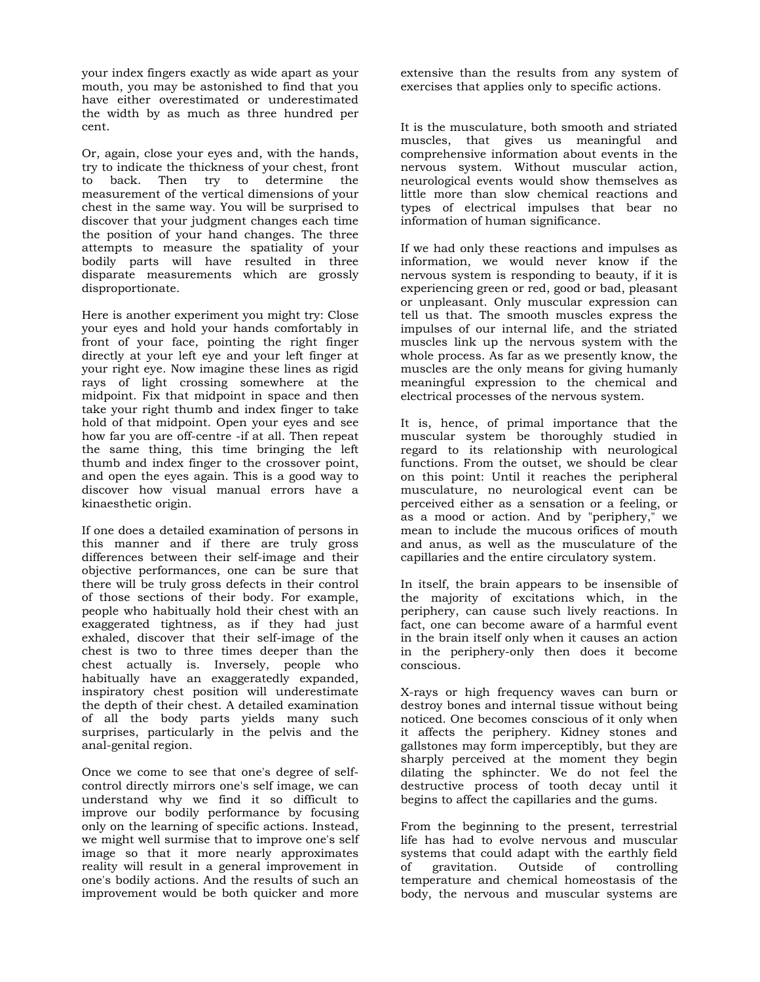your index fingers exactly as wide apart as your mouth, you may be astonished to find that you have either overestimated or underestimated the width by as much as three hundred per cent.

 Or, again, close your eyes and, with the hands, measurement of the vertical dimensions of your the position of your hand changes. The three try to indicate the thickness of your chest, front to back. Then try to determine the chest in the same way. You will be surprised to discover that your judgment changes each time attempts to measure the spatiality of your bodily parts will have resulted in three disparate measurements which are grossly disproportionate.

 Here is another experiment you might try: Close your right eye. Now imagine these lines as rigid rays of light crossing somewhere at the the same thing, this time bringing the left your eyes and hold your hands comfortably in front of your face, pointing the right finger directly at your left eye and your left finger at midpoint. Fix that midpoint in space and then take your right thumb and index finger to take hold of that midpoint. Open your eyes and see how far you are off-centre -if at all. Then repeat thumb and index finger to the crossover point, and open the eyes again. This is a good way to discover how visual manual errors have a kinaesthetic origin.

 this manner and if there are truly gross of those sections of their body. For example, exaggerated tightness, as if they had just chest is two to three times deeper than the If one does a detailed examination of persons in differences between their self-image and their objective performances, one can be sure that there will be truly gross defects in their control people who habitually hold their chest with an exhaled, discover that their self-image of the chest actually is. Inversely, people who habitually have an exaggeratedly expanded, inspiratory chest position will underestimate the depth of their chest. A detailed examination of all the body parts yields many such surprises, particularly in the pelvis and the anal-genital region.

 Once we come to see that one's degree of self- control directly mirrors one's self image, we can understand why we find it so difficult to improve our bodily performance by focusing only on the learning of specific actions. Instead, we might well surmise that to improve one's self image so that it more nearly approximates reality will result in a general improvement in one's bodily actions. And the results of such an improvement would be both quicker and more

extensive than the results from any system of exercises that applies only to specific actions.

 It is the musculature, both smooth and striated neurological events would show themselves as muscles, that gives us meaningful and comprehensive information about events in the nervous system. Without muscular action, little more than slow chemical reactions and types of electrical impulses that bear no information of human significance.

 tell us that. The smooth muscles express the impulses of our internal life, and the striated whole process. As far as we presently know, the If we had only these reactions and impulses as information, we would never know if the nervous system is responding to beauty, if it is experiencing green or red, good or bad, pleasant or unpleasant. Only muscular expression can muscles link up the nervous system with the muscles are the only means for giving humanly meaningful expression to the chemical and electrical processes of the nervous system.

 It is, hence, of primal importance that the perceived either as a sensation or a feeling, or as a mood or action. And by "periphery," we muscular system be thoroughly studied in regard to its relationship with neurological functions. From the outset, we should be clear on this point: Until it reaches the peripheral musculature, no neurological event can be mean to include the mucous orifices of mouth and anus, as well as the musculature of the capillaries and the entire circulatory system.

 the majority of excitations which, in the In itself, the brain appears to be insensible of periphery, can cause such lively reactions. In fact, one can become aware of a harmful event in the brain itself only when it causes an action in the periphery-only then does it become conscious.

 it affects the periphery. Kidney stones and destructive process of tooth decay until it X-rays or high frequency waves can burn or destroy bones and internal tissue without being noticed. One becomes conscious of it only when gallstones may form imperceptibly, but they are sharply perceived at the moment they begin dilating the sphincter. We do not feel the begins to affect the capillaries and the gums.

 From the beginning to the present, terrestrial life has had to evolve nervous and muscular systems that could adapt with the earthly field of gravitation. Outside of controlling temperature and chemical homeostasis of the body, the nervous and muscular systems are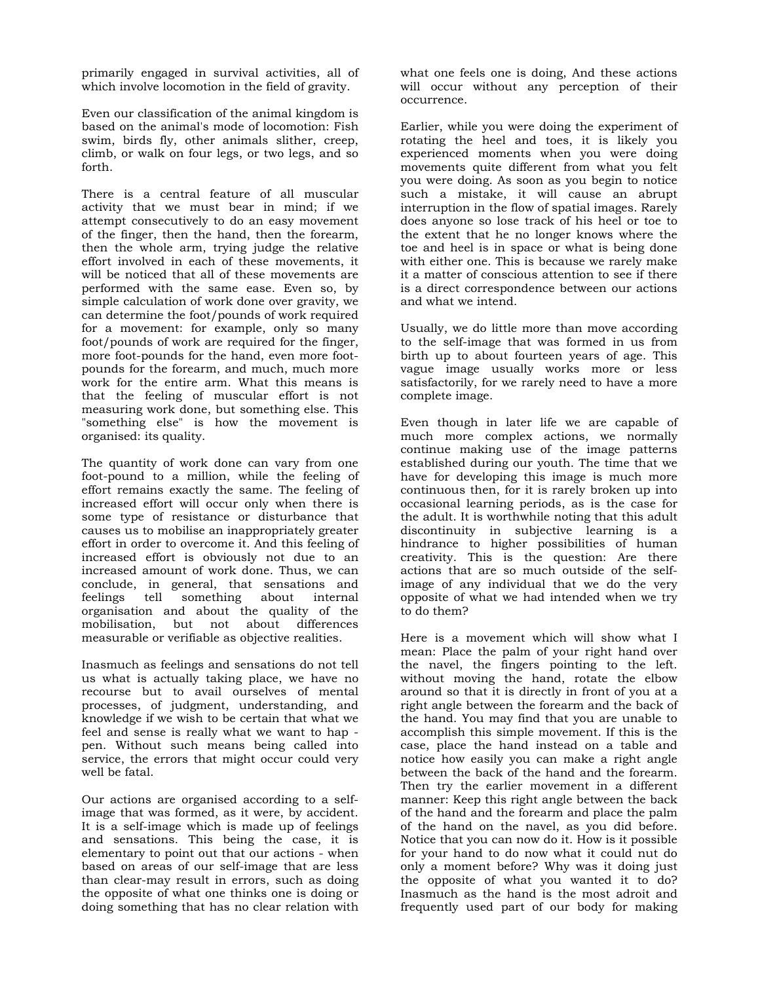primarily engaged in survival activities, all of which involve locomotion in the field of gravity.

Even our classification of the animal kingdom is based on the animal's mode of locomotion: Fish swim, birds fly, other animals slither, creep, climb, or walk on four legs, or two legs, and so forth.

 of the finger, then the hand, then the forearm, will be noticed that all of these movements are performed with the same ease. Even so, by work for the entire arm. What this means is There is a central feature of all muscular activity that we must bear in mind; if we attempt consecutively to do an easy movement then the whole arm, trying judge the relative effort involved in each of these movements, it simple calculation of work done over gravity, we can determine the foot/pounds of work required for a movement: for example, only so many foot/pounds of work are required for the finger, more foot-pounds for the hand, even more footpounds for the forearm, and much, much more that the feeling of muscular effort is not measuring work done, but something else. This "something else" is how the movement is organised: its quality.

 The quantity of work done can vary from one effort remains exactly the same. The feeling of some type of resistance or disturbance that increased amount of work done. Thus, we can organisation and about the quality of the foot-pound to a million, while the feeling of increased effort will occur only when there is causes us to mobilise an inappropriately greater effort in order to overcome it. And this feeling of increased effort is obviously not due to an conclude, in general, that sensations and feelings tell something about internal mobilisation, but not about differences measurable or verifiable as objective realities.

 us what is actually taking place, we have no knowledge if we wish to be certain that what we Inasmuch as feelings and sensations do not tell recourse but to avail ourselves of mental processes, of judgment, understanding, and feel and sense is really what we want to hap pen. Without such means being called into service, the errors that might occur could very well be fatal.

 and sensations. This being the case, it is elementary to point out that our actions - when than clear-may result in errors, such as doing the opposite of what one thinks one is doing or Our actions are organised according to a selfimage that was formed, as it were, by accident. It is a self-image which is made up of feelings based on areas of our self-image that are less doing something that has no clear relation with

 what one feels one is doing, And these actions will occur without any perception of their occurrence.

 does anyone so lose track of his heel or toe to the extent that he no longer knows where the toe and heel is in space or what is being done with either one. This is because we rarely make Earlier, while you were doing the experiment of rotating the heel and toes, it is likely you experienced moments when you were doing movements quite different from what you felt you were doing. As soon as you begin to notice such a mistake, it will cause an abrupt interruption in the flow of spatial images. Rarely it a matter of conscious attention to see if there is a direct correspondence between our actions and what we intend.

 to the self-image that was formed in us from vague image usually works more or less satisfactorily, for we rarely need to have a more Usually, we do little more than move according birth up to about fourteen years of age. This complete image.

 Even though in later life we are capable of continue making use of the image patterns established during our youth. The time that we continuous then, for it is rarely broken up into occasional learning periods, as is the case for much more complex actions, we normally have for developing this image is much more the adult. It is worthwhile noting that this adult discontinuity in subjective learning is a hindrance to higher possibilities of human creativity. This is the question: Are there actions that are so much outside of the selfimage of any individual that we do the very opposite of what we had intended when we try to do them?

 Here is a movement which will show what I around so that it is directly in front of you at a the hand. You may find that you are unable to manner: Keep this right angle between the back Notice that you can now do it. How is it possible for your hand to do now what it could nut do only a moment before? Why was it doing just mean: Place the palm of your right hand over the navel, the fingers pointing to the left. without moving the hand, rotate the elbow right angle between the forearm and the back of accomplish this simple movement. If this is the case, place the hand instead on a table and notice how easily you can make a right angle between the back of the hand and the forearm. Then try the earlier movement in a different of the hand and the forearm and place the palm of the hand on the navel, as you did before. the opposite of what you wanted it to do? Inasmuch as the hand is the most adroit and frequently used part of our body for making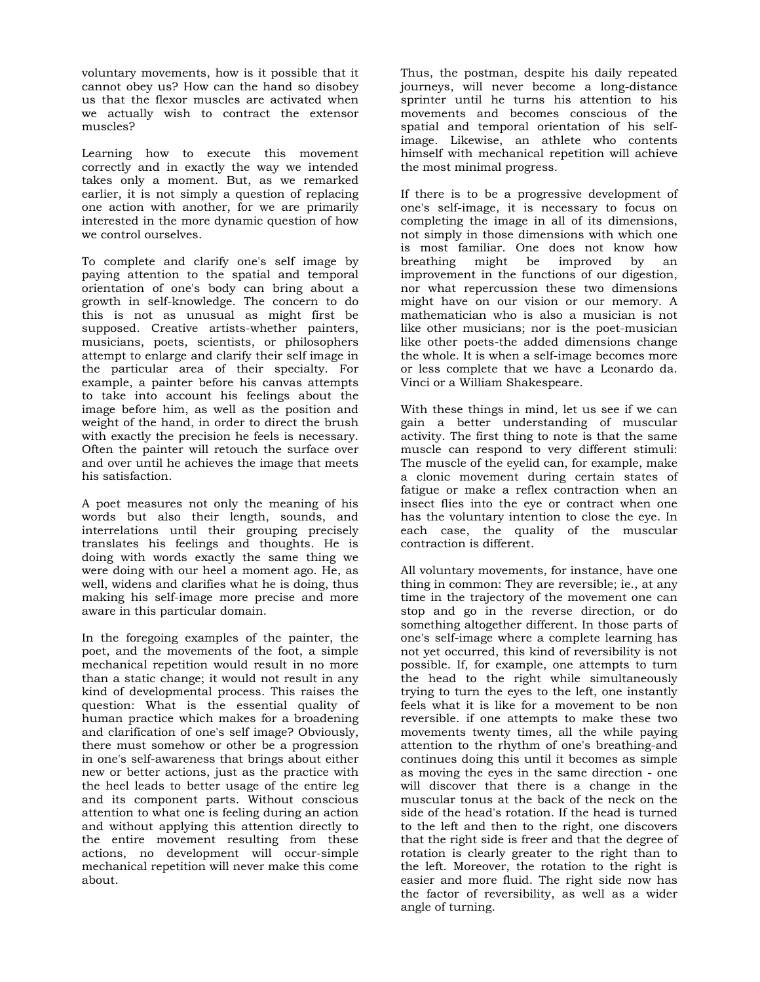voluntary movements, how is it possible that it cannot obey us? How can the hand so disobey we actually wish to contract the extensor us that the flexor muscles are activated when muscles?

 correctly and in exactly the way we intended interested in the more dynamic question of how Learning how to execute this movement takes only a moment. But, as we remarked earlier, it is not simply a question of replacing one action with another, for we are primarily we control ourselves.

 the particular area of their specialty. For Often the painter will retouch the surface over and over until he achieves the image that meets To complete and clarify one's self image by paying attention to the spatial and temporal orientation of one's body can bring about a growth in self-knowledge. The concern to do this is not as unusual as might first be supposed. Creative artists-whether painters, musicians, poets, scientists, or philosophers attempt to enlarge and clarify their self image in example, a painter before his canvas attempts to take into account his feelings about the image before him, as well as the position and weight of the hand, in order to direct the brush with exactly the precision he feels is necessary. his satisfaction.

 A poet measures not only the meaning of his doing with words exactly the same thing we words but also their length, sounds, and interrelations until their grouping precisely translates his feelings and thoughts. He is were doing with our heel a moment ago. He, as well, widens and clarifies what he is doing, thus making his self-image more precise and more aware in this particular domain.

 in one's self-awareness that brings about either the heel leads to better usage of the entire leg and its component parts. Without conscious mechanical repetition will never make this come In the foregoing examples of the painter, the poet, and the movements of the foot, a simple mechanical repetition would result in no more than a static change; it would not result in any kind of developmental process. This raises the question: What is the essential quality of human practice which makes for a broadening and clarification of one's self image? Obviously, there must somehow or other be a progression new or better actions, just as the practice with attention to what one is feeling during an action and without applying this attention directly to the entire movement resulting from these actions, no development will occur-simple about.

 journeys, will never become a long-distance Thus, the postman, despite his daily repeated sprinter until he turns his attention to his movements and becomes conscious of the spatial and temporal orientation of his selfimage. Likewise, an athlete who contents himself with mechanical repetition will achieve the most minimal progress.

 If there is to be a progressive development of improvement in the functions of our digestion, might have on our vision or our memory. A one's self-image, it is necessary to focus on completing the image in all of its dimensions, not simply in those dimensions with which one is most familiar. One does not know how breathing might be improved by an nor what repercussion these two dimensions mathematician who is also a musician is not like other musicians; nor is the poet-musician like other poets-the added dimensions change the whole. It is when a self-image becomes more or less complete that we have a Leonardo da. Vinci or a William Shakespeare.

 With these things in mind, let us see if we can activity. The first thing to note is that the same a clonic movement during certain states of fatigue or make a reflex contraction when an has the voluntary intention to close the eye. In gain a better understanding of muscular muscle can respond to very different stimuli: The muscle of the eyelid can, for example, make insect flies into the eye or contract when one each case, the quality of the muscular contraction is different.

 All voluntary movements, for instance, have one time in the trajectory of the movement one can stop and go in the reverse direction, or do possible. If, for example, one attempts to turn trying to turn the eyes to the left, one instantly feels what it is like for a movement to be non reversible. if one attempts to make these two movements twenty times, all the while paying as moving the eyes in the same direction - one muscular tonus at the back of the neck on the side of the head's rotation. If the head is turned to the left and then to the right, one discovers that the right side is freer and that the degree of thing in common: They are reversible; ie., at any something altogether different. In those parts of one's self-image where a complete learning has not yet occurred, this kind of reversibility is not the head to the right while simultaneously attention to the rhythm of one's breathing-and continues doing this until it becomes as simple will discover that there is a change in the rotation is clearly greater to the right than to the left. Moreover, the rotation to the right is easier and more fluid. The right side now has the factor of reversibility, as well as a wider angle of turning.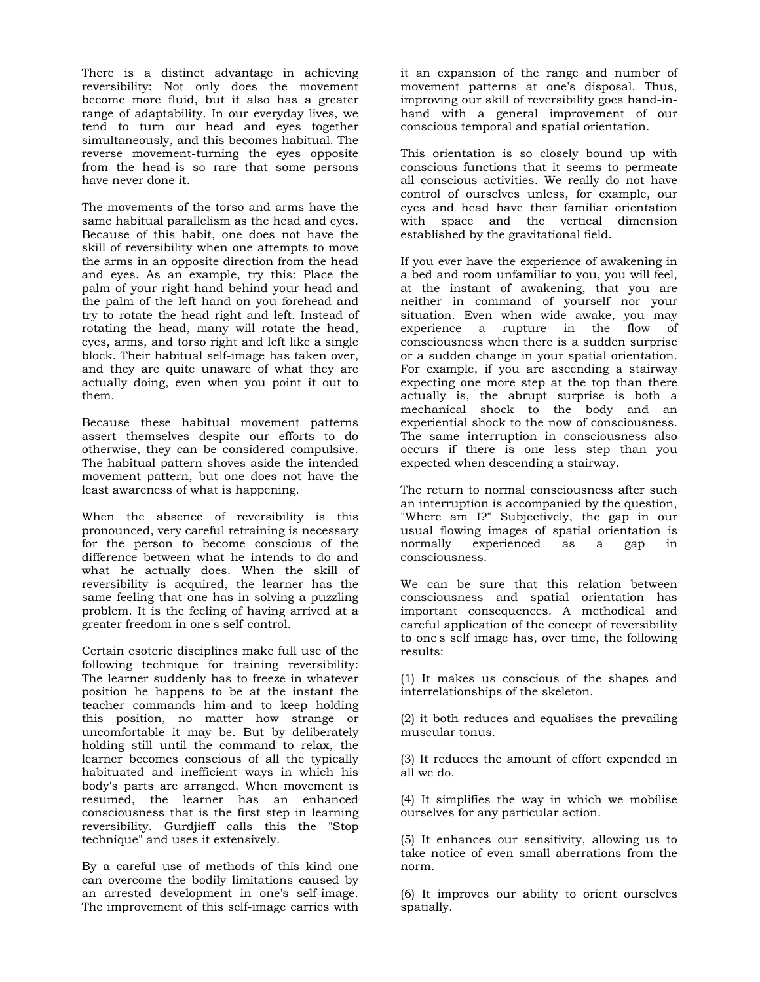become more fluid, but it also has a greater tend to turn our head and eyes together reverse movement-turning the eyes opposite from the head-is so rare that some persons There is a distinct advantage in achieving reversibility: Not only does the movement range of adaptability. In our everyday lives, we simultaneously, and this becomes habitual. The have never done it.

 Because of this habit, one does not have the try to rotate the head right and left. Instead of rotating the head, many will rotate the head, eyes, arms, and torso right and left like a single The movements of the torso and arms have the same habitual parallelism as the head and eyes. skill of reversibility when one attempts to move the arms in an opposite direction from the head and eyes. As an example, try this: Place the palm of your right hand behind your head and the palm of the left hand on you forehead and block. Their habitual self-image has taken over, and they are quite unaware of what they are actually doing, even when you point it out to them.

 movement pattern, but one does not have the Because these habitual movement patterns assert themselves despite our efforts to do otherwise, they can be considered compulsive. The habitual pattern shoves aside the intended least awareness of what is happening.

When the absence of reversibility is this pronounced, very careful retraining is necessary for the person to become conscious of the difference between what he intends to do and what he actually does. When the skill of reversibility is acquired, the learner has the same feeling that one has in solving a puzzling problem. It is the feeling of having arrived at a greater freedom in one's self-control.

 position he happens to be at the instant the holding still until the command to relax, the learner becomes conscious of all the typically Certain esoteric disciplines make full use of the following technique for training reversibility: The learner suddenly has to freeze in whatever teacher commands him-and to keep holding this position, no matter how strange or uncomfortable it may be. But by deliberately habituated and inefficient ways in which his body's parts are arranged. When movement is resumed, the learner has an enhanced consciousness that is the first step in learning reversibility. Gurdjieff calls this the "Stop technique" and uses it extensively.

By a careful use of methods of this kind one can overcome the bodily limitations caused by an arrested development in one's self-image. The improvement of this self-image carries with it an expansion of the range and number of movement patterns at one's disposal. Thus, improving our skill of reversibility goes hand-inhand with a general improvement of our conscious temporal and spatial orientation.

This orientation is so closely bound up with conscious functions that it seems to permeate all conscious activities. We really do not have control of ourselves unless, for example, our eyes and head have their familiar orientation with space and the vertical dimension established by the gravitational field.

 If you ever have the experience of awakening in a bed and room unfamiliar to you, you will feel, at the instant of awakening, that you are neither in command of yourself nor your situation. Even when wide awake, you may experience a rupture in the flow of consciousness when there is a sudden surprise or a sudden change in your spatial orientation. For example, if you are ascending a stairway expecting one more step at the top than there actually is, the abrupt surprise is both a mechanical shock to the body and an experiential shock to the now of consciousness. The same interruption in consciousness also occurs if there is one less step than you expected when descending a stairway.

The return to normal consciousness after such an interruption is accompanied by the question, "Where am I?" Subjectively, the gap in our usual flowing images of spatial orientation is normally experienced as a gap in consciousness.

 We can be sure that this relation between consciousness and spatial orientation has important consequences. A methodical and careful application of the concept of reversibility to one's self image has, over time, the following results:

(1) It makes us conscious of the shapes and interrelationships of the skeleton.

(2) it both reduces and equalises the prevailing muscular tonus.

(3) It reduces the amount of effort expended in all we do.

 (4) It simplifies the way in which we mobilise ourselves for any particular action.

 (5) It enhances our sensitivity, allowing us to take notice of even small aberrations from the norm.

(6) It improves our ability to orient ourselves spatially.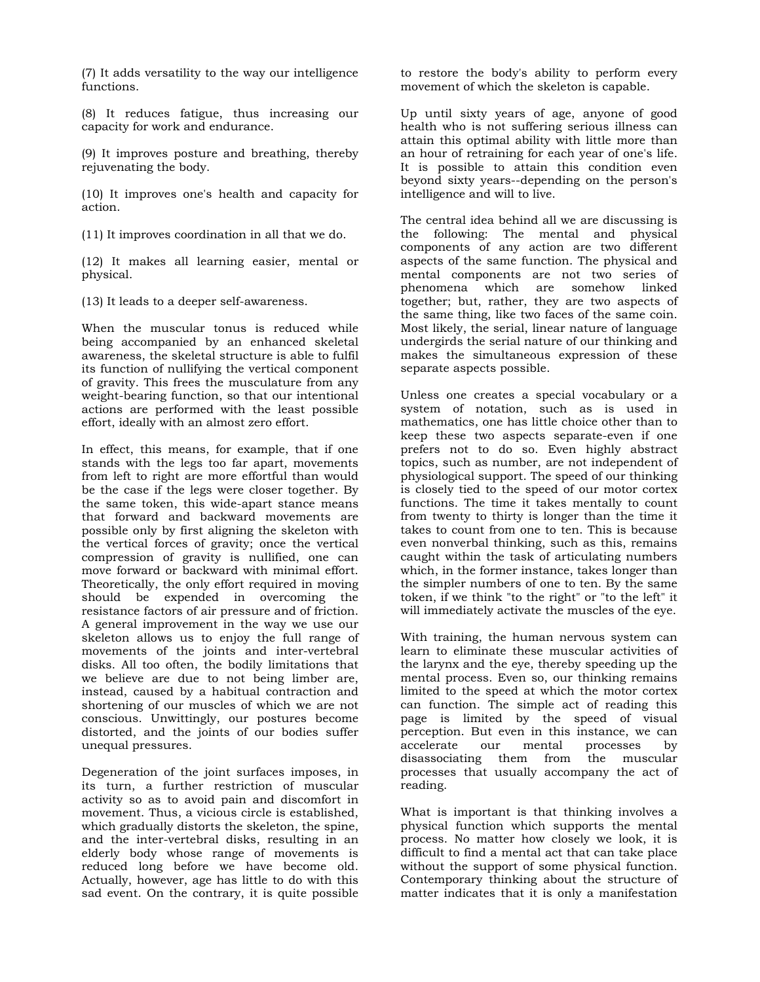(7) It adds versatility to the way our intelligence functions.

(8) It reduces fatigue, thus increasing our capacity for work and endurance.

(9) It improves posture and breathing, thereby rejuvenating the body.

(10) It improves one's health and capacity for action.

(11) It improves coordination in all that we do.

(12) It makes all learning easier, mental or physical.

(13) It leads to a deeper self-awareness.

 of gravity. This frees the musculature from any When the muscular tonus is reduced while being accompanied by an enhanced skeletal awareness, the skeletal structure is able to fulfil its function of nullifying the vertical component weight-bearing function, so that our intentional actions are performed with the least possible effort, ideally with an almost zero effort.

 be the case if the legs were closer together. By the vertical forces of gravity; once the vertical should be expended in overcoming the A general improvement in the way we use our shortening of our muscles of which we are not In effect, this means, for example, that if one stands with the legs too far apart, movements from left to right are more effortful than would the same token, this wide-apart stance means that forward and backward movements are possible only by first aligning the skeleton with compression of gravity is nullified, one can move forward or backward with minimal effort. Theoretically, the only effort required in moving resistance factors of air pressure and of friction. skeleton allows us to enjoy the full range of movements of the joints and inter-vertebral disks. All too often, the bodily limitations that we believe are due to not being limber are, instead, caused by a habitual contraction and conscious. Unwittingly, our postures become distorted, and the joints of our bodies suffer unequal pressures.

 its turn, a further restriction of muscular which gradually distorts the skeleton, the spine, Actually, however, age has little to do with this Degeneration of the joint surfaces imposes, in activity so as to avoid pain and discomfort in movement. Thus, a vicious circle is established, and the inter-vertebral disks, resulting in an elderly body whose range of movements is reduced long before we have become old. sad event. On the contrary, it is quite possible

 movement of which the skeleton is capable. to restore the body's ability to perform every

 Up until sixty years of age, anyone of good attain this optimal ability with little more than health who is not suffering serious illness can an hour of retraining for each year of one's life. It is possible to attain this condition even beyond sixty years--depending on the person's intelligence and will to live.

 components of any action are two different The central idea behind all we are discussing is the following: The mental and physical aspects of the same function. The physical and mental components are not two series of phenomena which are somehow linked together; but, rather, they are two aspects of the same thing, like two faces of the same coin. Most likely, the serial, linear nature of language undergirds the serial nature of our thinking and makes the simultaneous expression of these separate aspects possible.

 from twenty to thirty is longer than the time it token, if we think "to the right" or "to the left" it Unless one creates a special vocabulary or a system of notation, such as is used in mathematics, one has little choice other than to keep these two aspects separate-even if one prefers not to do so. Even highly abstract topics, such as number, are not independent of physiological support. The speed of our thinking is closely tied to the speed of our motor cortex functions. The time it takes mentally to count takes to count from one to ten. This is because even nonverbal thinking, such as this, remains caught within the task of articulating numbers which, in the former instance, takes longer than the simpler numbers of one to ten. By the same will immediately activate the muscles of the eye.

 page is limited by the speed of visual With training, the human nervous system can learn to eliminate these muscular activities of the larynx and the eye, thereby speeding up the mental process. Even so, our thinking remains limited to the speed at which the motor cortex can function. The simple act of reading this perception. But even in this instance, we can accelerate our mental processes by disassociating them from the muscular processes that usually accompany the act of reading.

 without the support of some physical function. Contemporary thinking about the structure of What is important is that thinking involves a physical function which supports the mental process. No matter how closely we look, it is difficult to find a mental act that can take place matter indicates that it is only a manifestation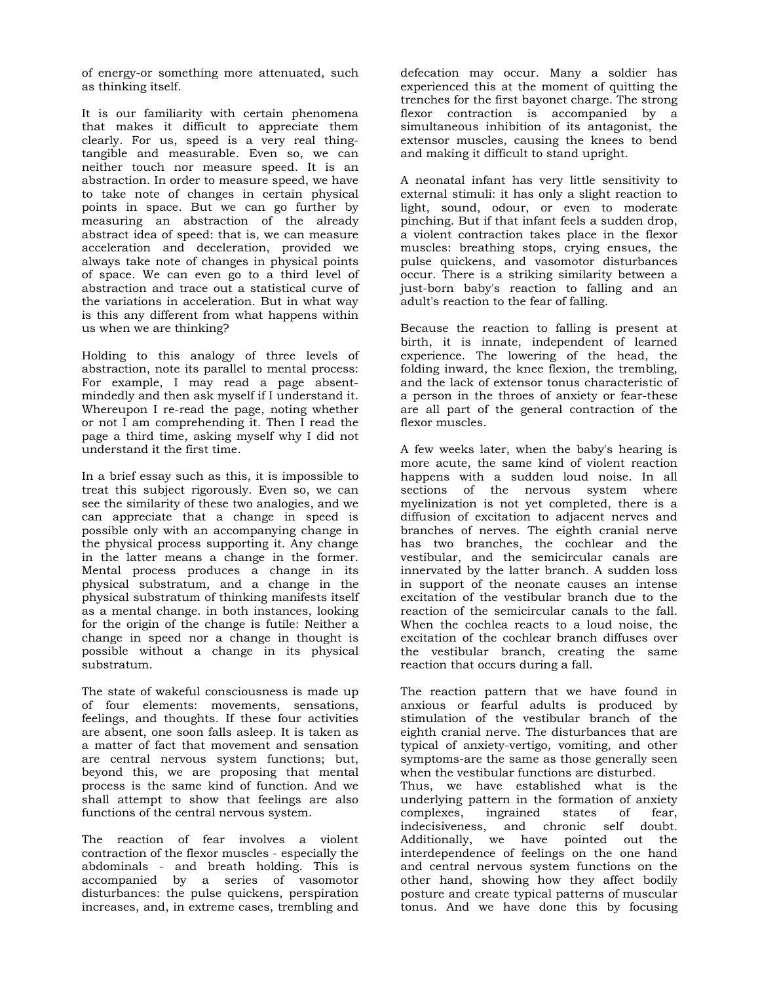of energy-or something more attenuated, such as thinking itself.

 neither touch nor measure speed. It is an to take note of changes in certain physical acceleration and deceleration, provided we of space. We can even go to a third level of It is our familiarity with certain phenomena that makes it difficult to appreciate them clearly. For us, speed is a very real thingtangible and measurable. Even so, we can abstraction. In order to measure speed, we have points in space. But we can go further by measuring an abstraction of the already abstract idea of speed: that is, we can measure always take note of changes in physical points abstraction and trace out a statistical curve of the variations in acceleration. But in what way is this any different from what happens within us when we are thinking?

 page a third time, asking myself why I did not Holding to this analogy of three levels of abstraction, note its parallel to mental process: For example, I may read a page absentmindedly and then ask myself if I understand it. Whereupon I re-read the page, noting whether or not I am comprehending it. Then I read the understand it the first time.

 see the similarity of these two analogies, and we can appreciate that a change in speed is possible only with an accompanying change in for the origin of the change is futile: Neither a In a brief essay such as this, it is impossible to treat this subject rigorously. Even so, we can the physical process supporting it. Any change in the latter means a change in the former. Mental process produces a change in its physical substratum, and a change in the physical substratum of thinking manifests itself as a mental change. in both instances, looking change in speed nor a change in thought is possible without a change in its physical substratum.

 The state of wakeful consciousness is made up process is the same kind of function. And we of four elements: movements, sensations, feelings, and thoughts. If these four activities are absent, one soon falls asleep. It is taken as a matter of fact that movement and sensation are central nervous system functions; but, beyond this, we are proposing that mental shall attempt to show that feelings are also functions of the central nervous system.

The reaction of fear involves a violent contraction of the flexor muscles - especially the abdominals - and breath holding. This is accompanied by a series of vasomotor disturbances: the pulse quickens, perspiration increases, and, in extreme cases, trembling and

 experienced this at the moment of quitting the trenches for the first bayonet charge. The strong and making it difficult to stand upright. defecation may occur. Many a soldier has flexor contraction is accompanied by a simultaneous inhibition of its antagonist, the extensor muscles, causing the knees to bend

A neonatal infant has very little sensitivity to external stimuli: it has only a slight reaction to light, sound, odour, or even to moderate pinching. But if that infant feels a sudden drop, a violent contraction takes place in the flexor muscles: breathing stops, crying ensues, the pulse quickens, and vasomotor disturbances occur. There is a striking similarity between a just-born baby's reaction to falling and an adult's reaction to the fear of falling.

 experience. The lowering of the head, the Because the reaction to falling is present at birth, it is innate, independent of learned folding inward, the knee flexion, the trembling, and the lack of extensor tonus characteristic of a person in the throes of anxiety or fear-these are all part of the general contraction of the flexor muscles.

 more acute, the same kind of violent reaction happens with a sudden loud noise. In all branches of nerves. The eighth cranial nerve When the cochlea reacts to a loud noise, the the vestibular branch, creating the same A few weeks later, when the baby's hearing is sections of the nervous system where myelinization is not yet completed, there is a diffusion of excitation to adjacent nerves and has two branches, the cochlear and the vestibular, and the semicircular canals are innervated by the latter branch. A sudden loss in support of the neonate causes an intense excitation of the vestibular branch due to the reaction of the semicircular canals to the fall. excitation of the cochlear branch diffuses over reaction that occurs during a fall.

 The reaction pattern that we have found in underlying pattern in the formation of anxiety indecisiveness, and chronic self doubt. anxious or fearful adults is produced by stimulation of the vestibular branch of the eighth cranial nerve. The disturbances that are typical of anxiety-vertigo, vomiting, and other symptoms-are the same as those generally seen when the vestibular functions are disturbed. Thus, we have established what is the complexes, ingrained states of fear, Additionally, we have pointed out the interdependence of feelings on the one hand and central nervous system functions on the other hand, showing how they affect bodily posture and create typical patterns of muscular tonus. And we have done this by focusing